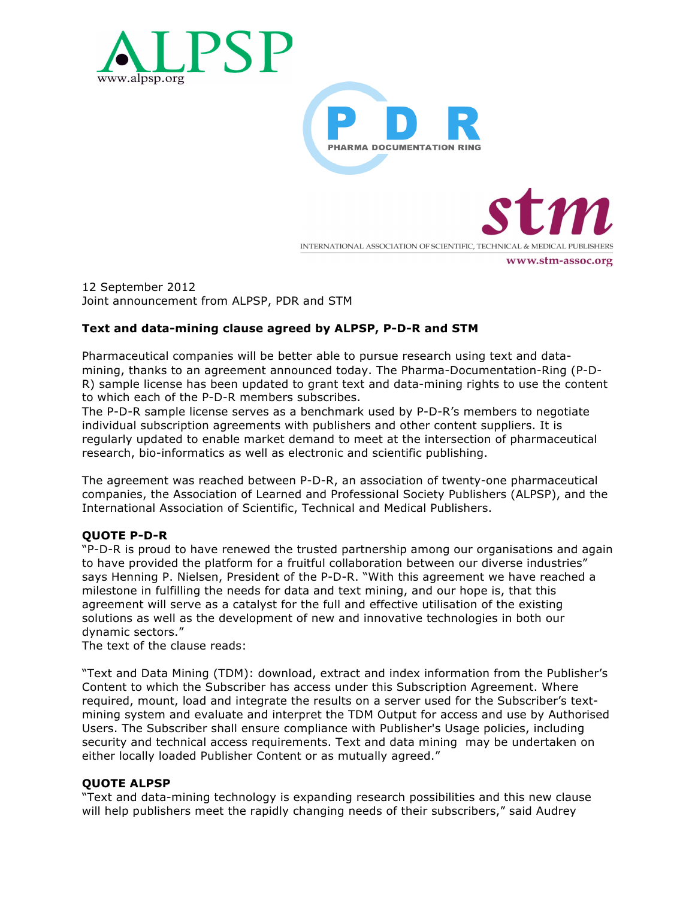



INTERNATIONAL ASSOCIATION OF SCIENTIFIC, TECHNICAL & MEDICAL PUBLISHERS

www.stm-assoc.org

12 September 2012 Joint announcement from ALPSP, PDR and STM

# **Text and data-mining clause agreed by ALPSP, P-D-R and STM**

Pharmaceutical companies will be better able to pursue research using text and datamining, thanks to an agreement announced today. The Pharma-Documentation-Ring (P-D-R) sample license has been updated to grant text and data-mining rights to use the content to which each of the P-D-R members subscribes.

The P-D-R sample license serves as a benchmark used by P-D-R's members to negotiate individual subscription agreements with publishers and other content suppliers. It is regularly updated to enable market demand to meet at the intersection of pharmaceutical research, bio-informatics as well as electronic and scientific publishing.

The agreement was reached between P-D-R, an association of twenty-one pharmaceutical companies, the Association of Learned and Professional Society Publishers (ALPSP), and the International Association of Scientific, Technical and Medical Publishers.

# **QUOTE P-D-R**

"P-D-R is proud to have renewed the trusted partnership among our organisations and again to have provided the platform for a fruitful collaboration between our diverse industries" says Henning P. Nielsen, President of the P-D-R. "With this agreement we have reached a milestone in fulfilling the needs for data and text mining, and our hope is, that this agreement will serve as a catalyst for the full and effective utilisation of the existing solutions as well as the development of new and innovative technologies in both our dynamic sectors."

The text of the clause reads:

"Text and Data Mining (TDM): download, extract and index information from the Publisher's Content to which the Subscriber has access under this Subscription Agreement. Where required, mount, load and integrate the results on a server used for the Subscriber's textmining system and evaluate and interpret the TDM Output for access and use by Authorised Users. The Subscriber shall ensure compliance with Publisher's Usage policies, including security and technical access requirements. Text and data mining may be undertaken on either locally loaded Publisher Content or as mutually agreed."

## **QUOTE ALPSP**

"Text and data-mining technology is expanding research possibilities and this new clause will help publishers meet the rapidly changing needs of their subscribers," said Audrey